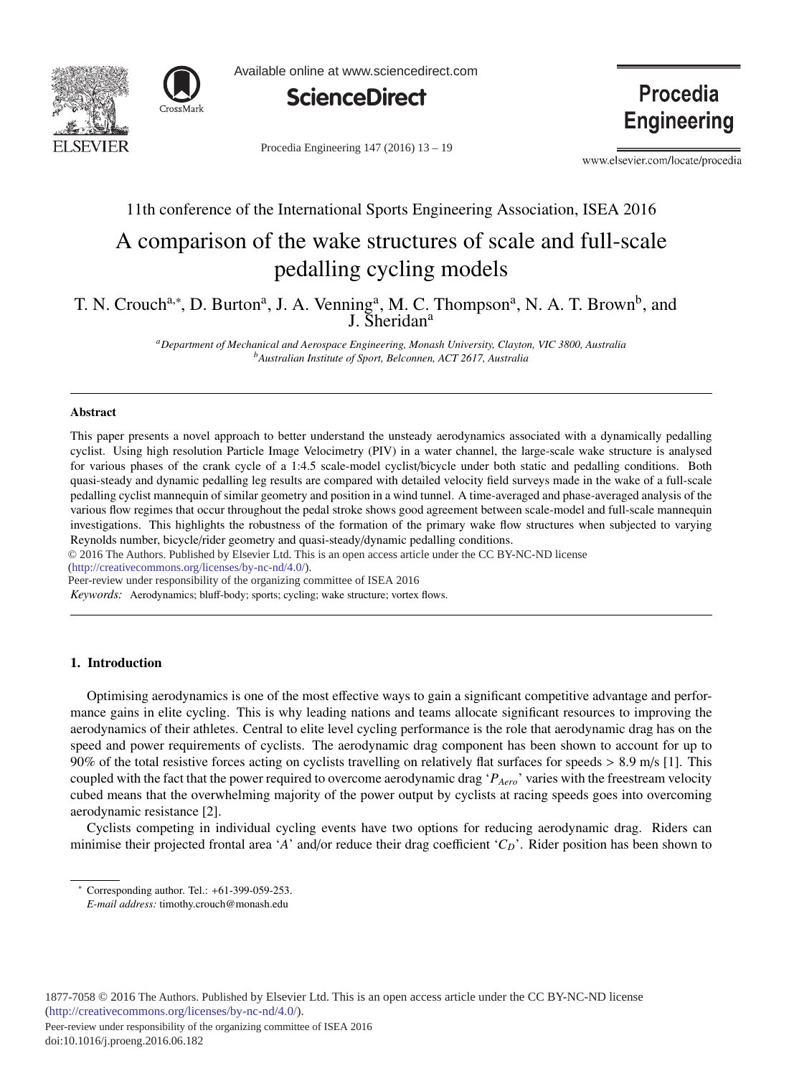



Available online at www.sciencedirect.com



Procedia Engineering  $147 (2016) 13 - 19$ 

**Procedia Engineering** 

www.elsevier.com/locate/procedia

# 11th conference of the International Sports Engineering Association, ISEA 2016 A comparison of the wake structures of scale and full-scale

pedalling cycling models

T. N. Crouch<sup>a,∗</sup>, D. Burton<sup>a</sup>, J. A. Venning<sup>a</sup>, M. C. Thompson<sup>a</sup>, N. A. T. Brown<sup>b</sup>, and J. Sheridan<sup>a</sup>

*aDepartment of Mechanical and Aerospace Engineering, Monash University, Clayton, VIC 3800, Australia bAustralian Institute of Sport, Belconnen, ACT 2617, Australia*

#### Abstract

This paper presents a novel approach to better understand the unsteady aerodynamics associated with a dynamically pedalling cyclist. Using high resolution Particle Image Velocimetry (PIV) in a water channel, the large-scale wake structure is analysed for various phases of the crank cycle of a 1:4.5 scale-model cyclist/bicycle under both static and pedalling conditions. Both quasi-steady and dynamic pedalling leg results are compared with detailed velocity field surveys made in the wake of a full-scale pedalling cyclist mannequin of similar geometry and position in a wind tunnel. A time-averaged and phase-averaged analysis of the various flow regimes that occur throughout the pedal stroke shows good agreement between scale-model and full-scale mannequin investigations. This highlights the robustness of the formation of the primary wake flow structures when subjected to varying Reynolds number, bicycle/rider geometry and quasi-steady/dynamic pedalling conditions.

c 2016 The Authors. Published by Elsevier Ltd. © 2016 The Authors. Published by Elsevier Ltd. This is an open access article under the CC BY-NC-ND license

(http://creativecommons.org/licenses/by-nc-nd/4.0/).

Peer-review under responsibility of the organizing committee of ISEA 2016

*Keywords:* Aerodynamics; bluff-body; sports; cycling; wake structure; vortex flows.

## 1. Introduction

Optimising aerodynamics is one of the most effective ways to gain a significant competitive advantage and performance gains in elite cycling. This is why leading nations and teams allocate significant resources to improving the aerodynamics of their athletes. Central to elite level cycling performance is the role that aerodynamic drag has on the speed and power requirements of cyclists. The aerodynamic drag component has been shown to account for up to 90% of the total resistive forces acting on cyclists travelling on relatively flat surfaces for speeds > 8.9 m/s [1]. This coupled with the fact that the power required to overcome aerodynamic drag '*PAero*' varies with the freestream velocity cubed means that the overwhelming majority of the power output by cyclists at racing speeds goes into overcoming aerodynamic resistance [2].

Cyclists competing in individual cycling events have two options for reducing aerodynamic drag. Riders can minimise their projected frontal area '*A*' and/or reduce their drag coefficient '*CD*'. Rider position has been shown to

1877-7058 © 2016 The Authors. Published by Elsevier Ltd. This is an open access article under the CC BY-NC-ND license (http://creativecommons.org/licenses/by-nc-nd/4.0/).

Peer-review under responsibility of the organizing committee of ISEA 2016

<sup>∗</sup> Corresponding author. Tel.: +61-399-059-253.

*E-mail address:* timothy.crouch@monash.edu

doi: 10.1016/j.proeng.2016.06.182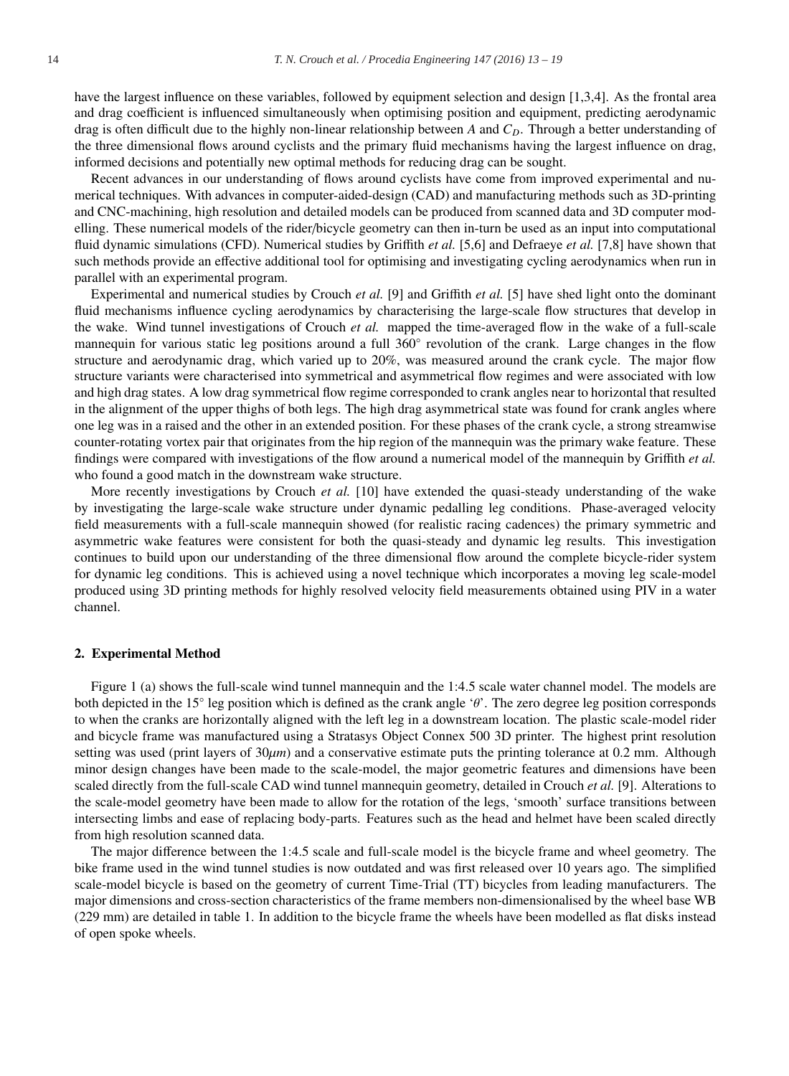have the largest influence on these variables, followed by equipment selection and design [1,3,4]. As the frontal area and drag coefficient is influenced simultaneously when optimising position and equipment, predicting aerodynamic drag is often difficult due to the highly non-linear relationship between  $A$  and  $C<sub>D</sub>$ . Through a better understanding of the three dimensional flows around cyclists and the primary fluid mechanisms having the largest influence on drag, informed decisions and potentially new optimal methods for reducing drag can be sought.

Recent advances in our understanding of flows around cyclists have come from improved experimental and numerical techniques. With advances in computer-aided-design (CAD) and manufacturing methods such as 3D-printing and CNC-machining, high resolution and detailed models can be produced from scanned data and 3D computer modelling. These numerical models of the rider/bicycle geometry can then in-turn be used as an input into computational fluid dynamic simulations (CFD). Numerical studies by Griffith *et al.* [5,6] and Defraeye *et al.* [7,8] have shown that such methods provide an effective additional tool for optimising and investigating cycling aerodynamics when run in parallel with an experimental program.

Experimental and numerical studies by Crouch *et al.* [9] and Griffith *et al.* [5] have shed light onto the dominant fluid mechanisms influence cycling aerodynamics by characterising the large-scale flow structures that develop in the wake. Wind tunnel investigations of Crouch *et al.* mapped the time-averaged flow in the wake of a full-scale mannequin for various static leg positions around a full 360° revolution of the crank. Large changes in the flow structure and aerodynamic drag, which varied up to 20%, was measured around the crank cycle. The major flow structure variants were characterised into symmetrical and asymmetrical flow regimes and were associated with low and high drag states. A low drag symmetrical flow regime corresponded to crank angles near to horizontal that resulted in the alignment of the upper thighs of both legs. The high drag asymmetrical state was found for crank angles where one leg was in a raised and the other in an extended position. For these phases of the crank cycle, a strong streamwise counter-rotating vortex pair that originates from the hip region of the mannequin was the primary wake feature. These findings were compared with investigations of the flow around a numerical model of the mannequin by Griffith *et al.* who found a good match in the downstream wake structure.

More recently investigations by Crouch *et al.* [10] have extended the quasi-steady understanding of the wake by investigating the large-scale wake structure under dynamic pedalling leg conditions. Phase-averaged velocity field measurements with a full-scale mannequin showed (for realistic racing cadences) the primary symmetric and asymmetric wake features were consistent for both the quasi-steady and dynamic leg results. This investigation continues to build upon our understanding of the three dimensional flow around the complete bicycle-rider system for dynamic leg conditions. This is achieved using a novel technique which incorporates a moving leg scale-model produced using 3D printing methods for highly resolved velocity field measurements obtained using PIV in a water channel.

#### 2. Experimental Method

Figure 1 (a) shows the full-scale wind tunnel mannequin and the 1:4.5 scale water channel model. The models are both depicted in the 15◦ leg position which is defined as the crank angle 'θ'. The zero degree leg position corresponds to when the cranks are horizontally aligned with the left leg in a downstream location. The plastic scale-model rider and bicycle frame was manufactured using a Stratasys Object Connex 500 3D printer. The highest print resolution setting was used (print layers of  $30\mu m$ ) and a conservative estimate puts the printing tolerance at 0.2 mm. Although minor design changes have been made to the scale-model, the major geometric features and dimensions have been scaled directly from the full-scale CAD wind tunnel mannequin geometry, detailed in Crouch *et al.* [9]. Alterations to the scale-model geometry have been made to allow for the rotation of the legs, 'smooth' surface transitions between intersecting limbs and ease of replacing body-parts. Features such as the head and helmet have been scaled directly from high resolution scanned data.

The major difference between the 1:4.5 scale and full-scale model is the bicycle frame and wheel geometry. The bike frame used in the wind tunnel studies is now outdated and was first released over 10 years ago. The simplified scale-model bicycle is based on the geometry of current Time-Trial (TT) bicycles from leading manufacturers. The major dimensions and cross-section characteristics of the frame members non-dimensionalised by the wheel base WB (229 mm) are detailed in table 1. In addition to the bicycle frame the wheels have been modelled as flat disks instead of open spoke wheels.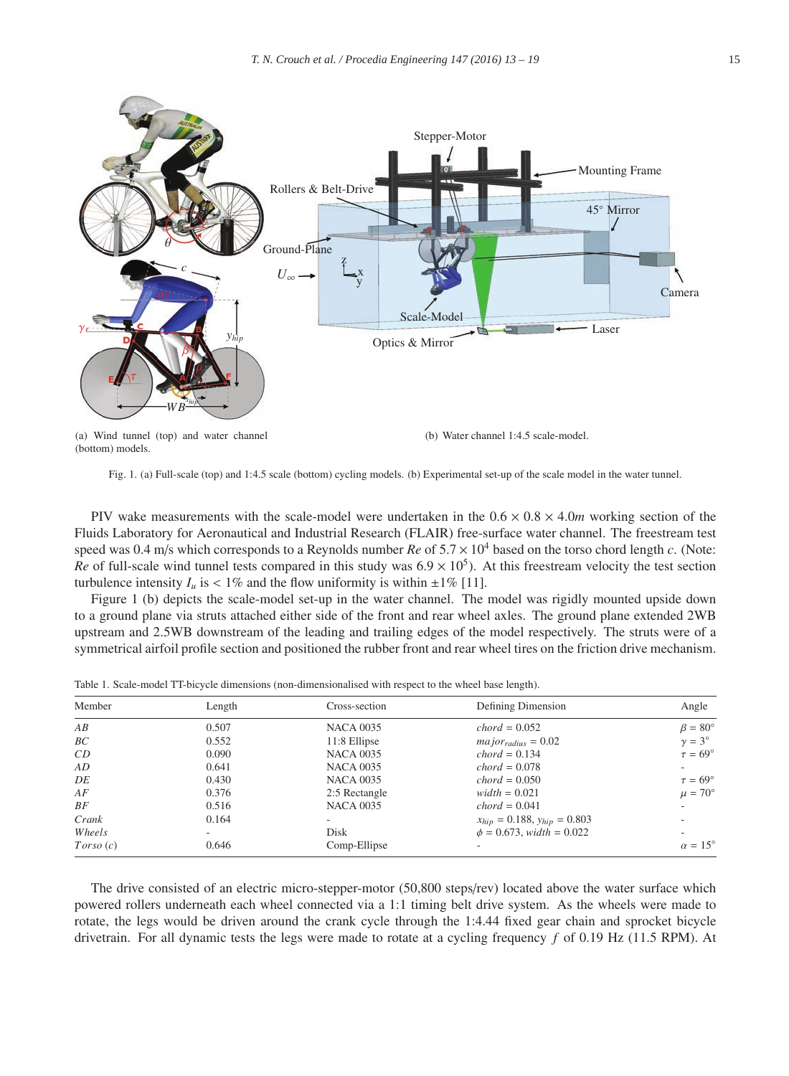

Fig. 1. (a) Full-scale (top) and 1:4.5 scale (bottom) cycling models. (b) Experimental set-up of the scale model in the water tunnel.

PIV wake measurements with the scale-model were undertaken in the  $0.6 \times 0.8 \times 4.0$ *m* working section of the Fluids Laboratory for Aeronautical and Industrial Research (FLAIR) free-surface water channel. The freestream test speed was 0.4 m/s which corresponds to a Reynolds number *Re* of  $5.7 \times 10^4$  based on the torso chord length *c*. (Note: *Re* of full-scale wind tunnel tests compared in this study was  $6.9 \times 10^5$ . At this freestream velocity the test section turbulence intensity  $I_u$  is  $< 1\%$  and the flow uniformity is within  $\pm 1\%$  [11].

Figure 1 (b) depicts the scale-model set-up in the water channel. The model was rigidly mounted upside down to a ground plane via struts attached either side of the front and rear wheel axles. The ground plane extended 2WB upstream and 2.5WB downstream of the leading and trailing edges of the model respectively. The struts were of a symmetrical airfoil profile section and positioned the rubber front and rear wheel tires on the friction drive mechanism.

Table 1. Scale-model TT-bicycle dimensions (non-dimensionalised with respect to the wheel base length).

| Member   | Length | Cross-section    | Defining Dimension                      | Angle                 |
|----------|--------|------------------|-----------------------------------------|-----------------------|
| AB       | 0.507  | <b>NACA 0035</b> | $chord = 0.052$                         | $\beta = 80^\circ$    |
| ВC       | 0.552  | 11:8 Ellipse     | <i>ma jor<sub>radius</sub></i> = $0.02$ | $\gamma = 3^{\circ}$  |
| CD       | 0.090  | <b>NACA 0035</b> | $chord = 0.134$                         | $\tau = 69^\circ$     |
| AD       | 0.641  | <b>NACA 0035</b> | $chord = 0.078$                         |                       |
| DE       | 0.430  | <b>NACA 0035</b> | $chord = 0.050$                         | $\tau = 69^\circ$     |
| AF       | 0.376  | 2:5 Rectangle    | $width = 0.021$                         | $\mu = 70^{\circ}$    |
| BF       | 0.516  | <b>NACA 0035</b> | $chord = 0.041$                         |                       |
| Crank    | 0.164  |                  | $x_{hip} = 0.188$ , $y_{hip} = 0.803$   |                       |
| Wheels   |        | Disk             | $\phi = 0.673$ , width = 0.022          |                       |
| Torso(c) | 0.646  | Comp-Ellipse     |                                         | $\alpha = 15^{\circ}$ |

The drive consisted of an electric micro-stepper-motor (50,800 steps/rev) located above the water surface which powered rollers underneath each wheel connected via a 1:1 timing belt drive system. As the wheels were made to rotate, the legs would be driven around the crank cycle through the 1:4.44 fixed gear chain and sprocket bicycle drivetrain. For all dynamic tests the legs were made to rotate at a cycling frequency *f* of 0.19 Hz (11.5 RPM). At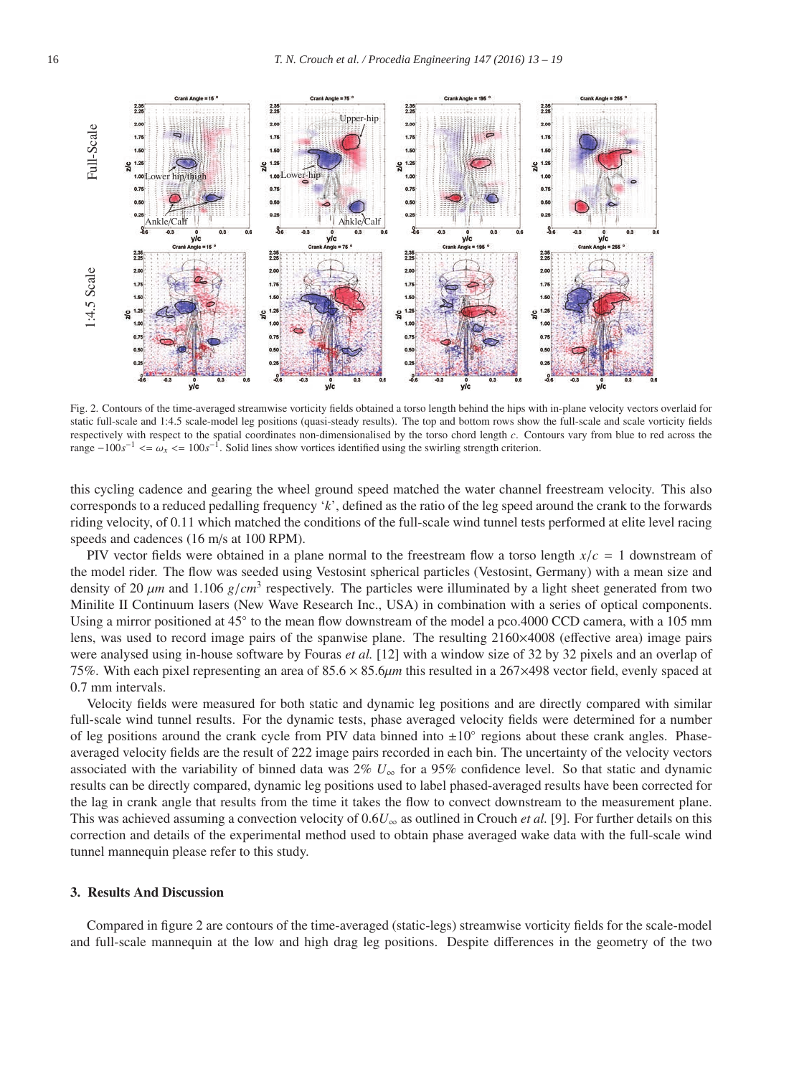

Fig. 2. Contours of the time-averaged streamwise vorticity fields obtained a torso length behind the hips with in-plane velocity vectors overlaid for static full-scale and 1:4.5 scale-model leg positions (quasi-steady results). The top and bottom rows show the full-scale and scale vorticity fields respectively with respect to the spatial coordinates non-dimensionalised by the torso chord length *c*. Contours vary from blue to red across the range  $-100s^{-1} \le \omega_x \le 100s^{-1}$ . Solid lines show vortices identified using the swirling strength criterion.

this cycling cadence and gearing the wheel ground speed matched the water channel freestream velocity. This also corresponds to a reduced pedalling frequency '*k*', defined as the ratio of the leg speed around the crank to the forwards riding velocity, of 0.11 which matched the conditions of the full-scale wind tunnel tests performed at elite level racing speeds and cadences (16 m/s at 100 RPM).

PIV vector fields were obtained in a plane normal to the freestream flow a torso length *x*/*c* = 1 downstream of the model rider. The flow was seeded using Vestosint spherical particles (Vestosint, Germany) with a mean size and density of 20  $\mu$ m and 1.106  $g/cm^3$  respectively. The particles were illuminated by a light sheet generated from two Minilite II Continuum lasers (New Wave Research Inc., USA) in combination with a series of optical components. Using a mirror positioned at 45° to the mean flow downstream of the model a pco.4000 CCD camera, with a 105 mm lens, was used to record image pairs of the spanwise plane. The resulting 2160×4008 (effective area) image pairs were analysed using in-house software by Fouras *et al.* [12] with a window size of 32 by 32 pixels and an overlap of 75%. With each pixel representing an area of 85.6 × 85.6μ*m* this resulted in a 267×498 vector field, evenly spaced at 0.7 mm intervals.

Velocity fields were measured for both static and dynamic leg positions and are directly compared with similar full-scale wind tunnel results. For the dynamic tests, phase averaged velocity fields were determined for a number of leg positions around the crank cycle from PIV data binned into  $\pm 10^\circ$  regions about these crank angles. Phaseaveraged velocity fields are the result of 222 image pairs recorded in each bin. The uncertainty of the velocity vectors associated with the variability of binned data was  $2\% U_{\infty}$  for a 95% confidence level. So that static and dynamic results can be directly compared, dynamic leg positions used to label phased-averaged results have been corrected for the lag in crank angle that results from the time it takes the flow to convect downstream to the measurement plane. This was achieved assuming a convection velocity of 0.6*U*<sup>∞</sup> as outlined in Crouch *et al.* [9]. For further details on this correction and details of the experimental method used to obtain phase averaged wake data with the full-scale wind tunnel mannequin please refer to this study.

### 3. Results And Discussion

Compared in figure 2 are contours of the time-averaged (static-legs) streamwise vorticity fields for the scale-model and full-scale mannequin at the low and high drag leg positions. Despite differences in the geometry of the two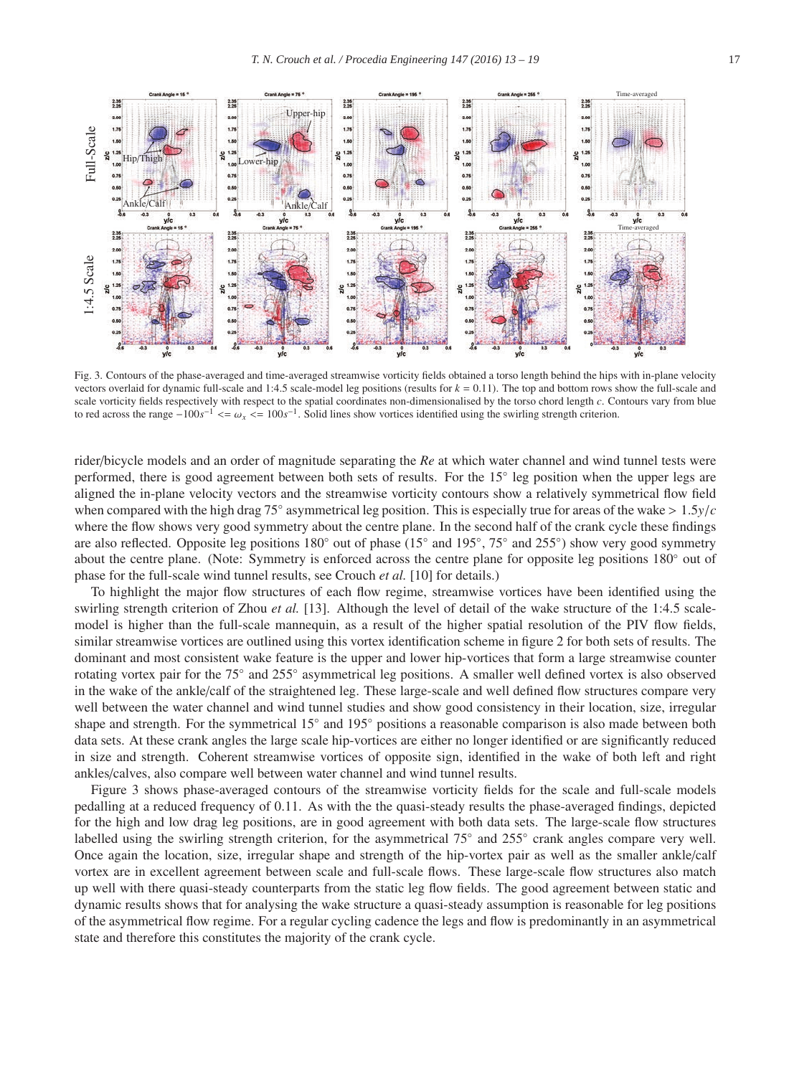

Fig. 3. Contours of the phase-averaged and time-averaged streamwise vorticity fields obtained a torso length behind the hips with in-plane velocity vectors overlaid for dynamic full-scale and 1:4.5 scale-model leg positions (results for *k* = 0.11). The top and bottom rows show the full-scale and scale vorticity fields respectively with respect to the spatial coordinates non-dimensionalised by the torso chord length *c*. Contours vary from blue to red across the range  $-100s^{-1} \le \omega_x \le 100s^{-1}$ . Solid lines show vortices identified using the swirling strength criterion.

rider/bicycle models and an order of magnitude separating the *Re* at which water channel and wind tunnel tests were performed, there is good agreement between both sets of results. For the 15◦ leg position when the upper legs are aligned the in-plane velocity vectors and the streamwise vorticity contours show a relatively symmetrical flow field when compared with the high drag 75◦ asymmetrical leg position. This is especially true for areas of the wake > 1.5*y*/*c* where the flow shows very good symmetry about the centre plane. In the second half of the crank cycle these findings are also reflected. Opposite leg positions 180° out of phase (15° and 195°, 75° and 255°) show very good symmetry about the centre plane. (Note: Symmetry is enforced across the centre plane for opposite leg positions 180◦ out of phase for the full-scale wind tunnel results, see Crouch *et al.* [10] for details.)

To highlight the major flow structures of each flow regime, streamwise vortices have been identified using the swirling strength criterion of Zhou *et al.* [13]. Although the level of detail of the wake structure of the 1:4.5 scalemodel is higher than the full-scale mannequin, as a result of the higher spatial resolution of the PIV flow fields, similar streamwise vortices are outlined using this vortex identification scheme in figure 2 for both sets of results. The dominant and most consistent wake feature is the upper and lower hip-vortices that form a large streamwise counter rotating vortex pair for the 75◦ and 255◦ asymmetrical leg positions. A smaller well defined vortex is also observed in the wake of the ankle/calf of the straightened leg. These large-scale and well defined flow structures compare very well between the water channel and wind tunnel studies and show good consistency in their location, size, irregular shape and strength. For the symmetrical 15° and 195° positions a reasonable comparison is also made between both data sets. At these crank angles the large scale hip-vortices are either no longer identified or are significantly reduced in size and strength. Coherent streamwise vortices of opposite sign, identified in the wake of both left and right ankles/calves, also compare well between water channel and wind tunnel results.

Figure 3 shows phase-averaged contours of the streamwise vorticity fields for the scale and full-scale models pedalling at a reduced frequency of 0.11. As with the the quasi-steady results the phase-averaged findings, depicted for the high and low drag leg positions, are in good agreement with both data sets. The large-scale flow structures labelled using the swirling strength criterion, for the asymmetrical 75◦ and 255◦ crank angles compare very well. Once again the location, size, irregular shape and strength of the hip-vortex pair as well as the smaller ankle/calf vortex are in excellent agreement between scale and full-scale flows. These large-scale flow structures also match up well with there quasi-steady counterparts from the static leg flow fields. The good agreement between static and dynamic results shows that for analysing the wake structure a quasi-steady assumption is reasonable for leg positions of the asymmetrical flow regime. For a regular cycling cadence the legs and flow is predominantly in an asymmetrical state and therefore this constitutes the majority of the crank cycle.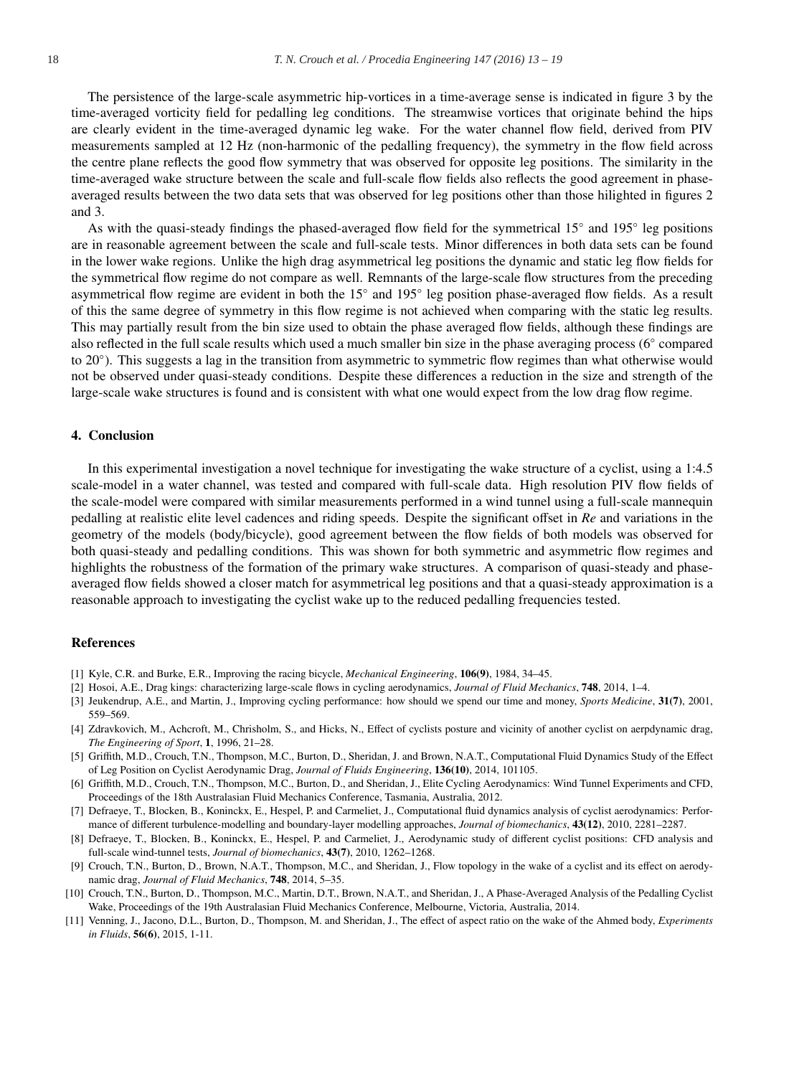The persistence of the large-scale asymmetric hip-vortices in a time-average sense is indicated in figure 3 by the time-averaged vorticity field for pedalling leg conditions. The streamwise vortices that originate behind the hips are clearly evident in the time-averaged dynamic leg wake. For the water channel flow field, derived from PIV measurements sampled at 12 Hz (non-harmonic of the pedalling frequency), the symmetry in the flow field across the centre plane reflects the good flow symmetry that was observed for opposite leg positions. The similarity in the time-averaged wake structure between the scale and full-scale flow fields also reflects the good agreement in phaseaveraged results between the two data sets that was observed for leg positions other than those hilighted in figures 2 and 3.

As with the quasi-steady findings the phased-averaged flow field for the symmetrical 15◦ and 195◦ leg positions are in reasonable agreement between the scale and full-scale tests. Minor differences in both data sets can be found in the lower wake regions. Unlike the high drag asymmetrical leg positions the dynamic and static leg flow fields for the symmetrical flow regime do not compare as well. Remnants of the large-scale flow structures from the preceding asymmetrical flow regime are evident in both the 15◦ and 195◦ leg position phase-averaged flow fields. As a result of this the same degree of symmetry in this flow regime is not achieved when comparing with the static leg results. This may partially result from the bin size used to obtain the phase averaged flow fields, although these findings are also reflected in the full scale results which used a much smaller bin size in the phase averaging process (6◦ compared to 20◦). This suggests a lag in the transition from asymmetric to symmetric flow regimes than what otherwise would not be observed under quasi-steady conditions. Despite these differences a reduction in the size and strength of the large-scale wake structures is found and is consistent with what one would expect from the low drag flow regime.

## 4. Conclusion

In this experimental investigation a novel technique for investigating the wake structure of a cyclist, using a 1:4.5 scale-model in a water channel, was tested and compared with full-scale data. High resolution PIV flow fields of the scale-model were compared with similar measurements performed in a wind tunnel using a full-scale mannequin pedalling at realistic elite level cadences and riding speeds. Despite the significant offset in *Re* and variations in the geometry of the models (body/bicycle), good agreement between the flow fields of both models was observed for both quasi-steady and pedalling conditions. This was shown for both symmetric and asymmetric flow regimes and highlights the robustness of the formation of the primary wake structures. A comparison of quasi-steady and phaseaveraged flow fields showed a closer match for asymmetrical leg positions and that a quasi-steady approximation is a reasonable approach to investigating the cyclist wake up to the reduced pedalling frequencies tested.

#### References

- [1] Kyle, C.R. and Burke, E.R., Improving the racing bicycle, *Mechanical Engineering*, 106(9), 1984, 34–45.
- [2] Hosoi, A.E., Drag kings: characterizing large-scale flows in cycling aerodynamics, *Journal of Fluid Mechanics*, 748, 2014, 1–4.
- [3] Jeukendrup, A.E., and Martin, J., Improving cycling performance: how should we spend our time and money, *Sports Medicine*, 31(7), 2001, 559–569.
- [4] Zdravkovich, M., Achcroft, M., Chrisholm, S., and Hicks, N., Effect of cyclists posture and vicinity of another cyclist on aerpdynamic drag, *The Engineering of Sport*, 1, 1996, 21–28.
- [5] Griffith, M.D., Crouch, T.N., Thompson, M.C., Burton, D., Sheridan, J. and Brown, N.A.T., Computational Fluid Dynamics Study of the Effect of Leg Position on Cyclist Aerodynamic Drag, *Journal of Fluids Engineering*, 136(10), 2014, 101105.
- [6] Griffith, M.D., Crouch, T.N., Thompson, M.C., Burton, D., and Sheridan, J., Elite Cycling Aerodynamics: Wind Tunnel Experiments and CFD, Proceedings of the 18th Australasian Fluid Mechanics Conference, Tasmania, Australia, 2012.
- [7] Defraeye, T., Blocken, B., Koninckx, E., Hespel, P. and Carmeliet, J., Computational fluid dynamics analysis of cyclist aerodynamics: Performance of different turbulence-modelling and boundary-layer modelling approaches, *Journal of biomechanics*, 43(12), 2010, 2281–2287.
- [8] Defraeye, T., Blocken, B., Koninckx, E., Hespel, P. and Carmeliet, J., Aerodynamic study of different cyclist positions: CFD analysis and full-scale wind-tunnel tests, *Journal of biomechanics*, 43(7), 2010, 1262–1268.
- [9] Crouch, T.N., Burton, D., Brown, N.A.T., Thompson, M.C., and Sheridan, J., Flow topology in the wake of a cyclist and its effect on aerodynamic drag, *Journal of Fluid Mechanics*, 748, 2014, 5–35.
- [10] Crouch, T.N., Burton, D., Thompson, M.C., Martin, D.T., Brown, N.A.T., and Sheridan, J., A Phase-Averaged Analysis of the Pedalling Cyclist Wake, Proceedings of the 19th Australasian Fluid Mechanics Conference, Melbourne, Victoria, Australia, 2014.
- [11] Venning, J., Jacono, D.L., Burton, D., Thompson, M. and Sheridan, J., The effect of aspect ratio on the wake of the Ahmed body, *Experiments in Fluids*, 56(6), 2015, 1-11.